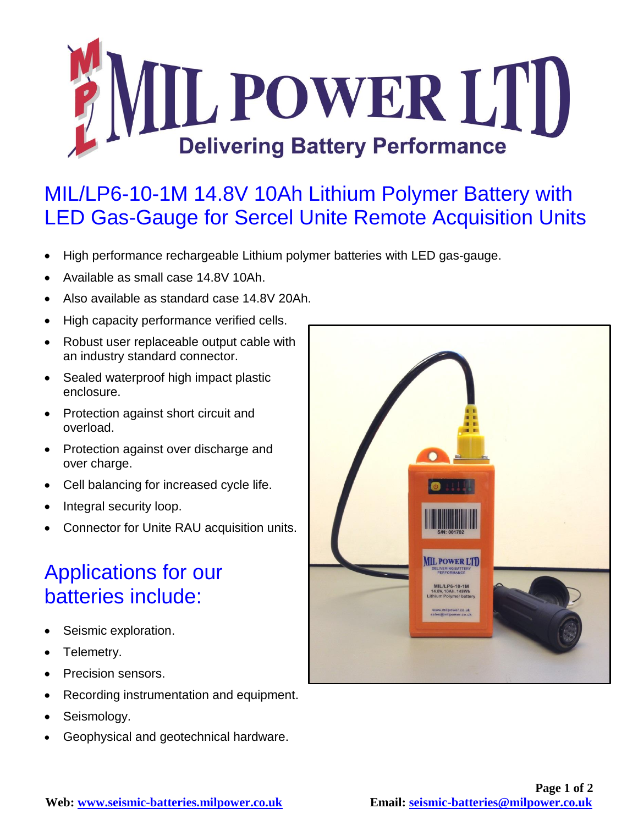

## MIL/LP6-10-1M 14.8V 10Ah Lithium Polymer Battery with LED Gas-Gauge for Sercel Unite Remote Acquisition Units

- High performance rechargeable Lithium polymer batteries with LED gas-gauge.
- Available as small case 14.8V 10Ah.
- Also available as standard case 14.8V 20Ah.
- High capacity performance verified cells.
- Robust user replaceable output cable with an industry standard connector.
- Sealed waterproof high impact plastic enclosure.
- Protection against short circuit and overload.
- Protection against over discharge and over charge.
- Cell balancing for increased cycle life.
- Integral security loop.
- Connector for Unite RAU acquisition units.

## Applications for our batteries include:

- Seismic exploration.
- Telemetry.
- Precision sensors.
- Recording instrumentation and equipment.
- Seismology.
- Geophysical and geotechnical hardware.